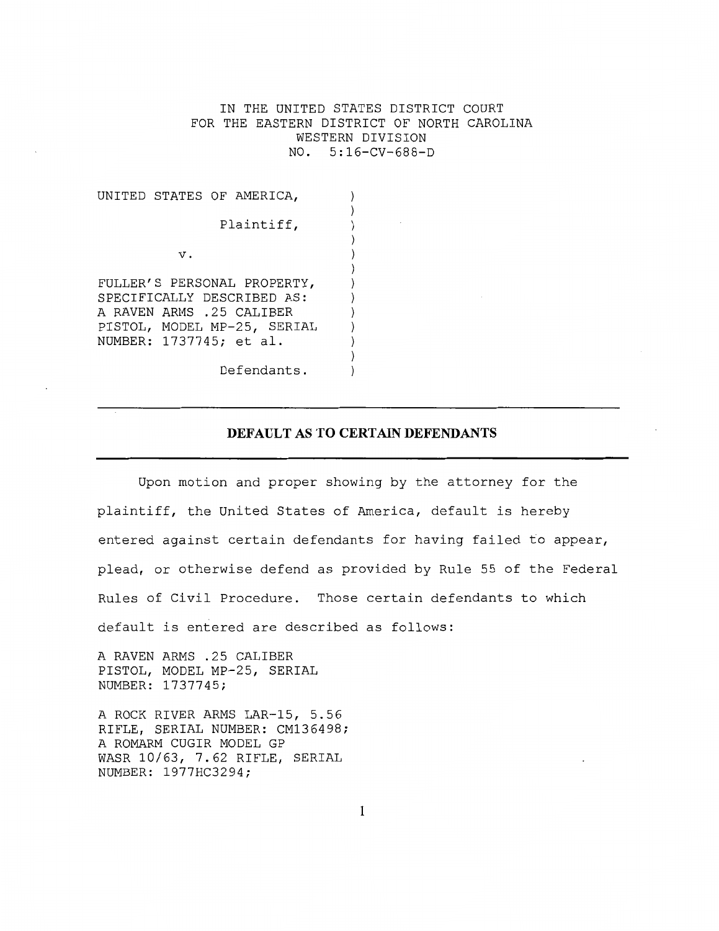IN THE UNITED STATES DISTRICT COURT FOR THE EASTERN DISTRICT OF NORTH CAROLINA WESTERN DIVISION NO. 5:16-CV-688-D

> $\lambda$  $\lambda$  $\lambda$

|            | UNITED STATES OF AMERICA,                                                                                                                       |  |  |  |
|------------|-------------------------------------------------------------------------------------------------------------------------------------------------|--|--|--|
| Plaintiff, |                                                                                                                                                 |  |  |  |
|            | $\mathbf v$ .                                                                                                                                   |  |  |  |
|            | FULLER'S PERSONAL PROPERTY,<br>SPECIFICALLY DESCRIBED AS:<br>A RAVEN ARMS .25 CALIBER<br>PISTOL, MODEL MP-25, SERIAL<br>NUMBER: 1737745; et al. |  |  |  |

Defendants.

## **DEFAULT AS TO CERTAIN DEFENDANTS**

Upon motion and proper showing by the attorney for the plaintiff, the United States of America, default is hereby entered against certain defendants for having failed to appear, plead, or otherwise defend as provided by Rule 55 of the Federal Rules of Civil Procedure. Those certain defendants to which default is entered are described as follows:

A RAVEN ARMS .25 CALIBER PISTOL, MODEL MP-25, SERIAL NUMBER: 1737745;

A ROCK RIVER ARMS LAR-15, 5.56 RIFLE, SERIAL NUMBER: CM136498; A ROMARM CUGIR MODEL GP WASR 10/63, 7.62 RIFLE, SERIAL NUMBER: 1977HC3294;

1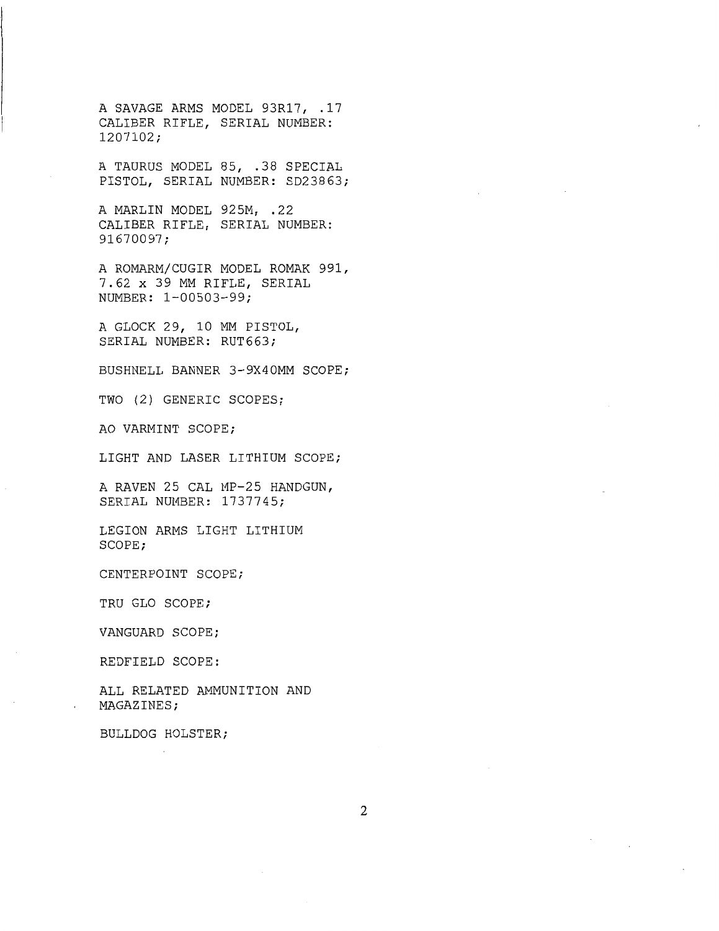A SAVAGE ARMS MODEL 93R17, .17 CALIBER RIFLE, SERIAL NUMBER: 1207102;

A TAURUS MODEL 85, .38 SPECIAL PISTOL, SERIAL NUMBER: SD23863;

A MARLIN MODEL 925M, .22 CALIBER RIFLE, SERIAL NUMBER: 91670097;

A ROMARM/CUGIR MODEL ROMAK 991, 7.62 x 39 MM RIFLE, SERIAL NUMBER: 1-00503-99;

A GLOCK 29, 10 MM PISTOL, SERIAL NUMBER: RUT663;

BUSHNELL BANNER 3-9X40MM SCOPE;

TWO (2) GENERIC SCOPES;

AO VARMINT SCOPE;

LIGHT AND LASER LITHIUM SCOPE;

A RAVEN 25 CAL MP-25 HANDGUN, SERIAL NUMBER: 1737745;

LEGION ARMS LIGHT LITHIUM SCOPE;

CENTERPOINT SCOPE;

TRU GLO SCOPE;

VANGUARD SCOPE;

REDFIELD SCOPE:

ALL RELATED AMMUNITION AND MAGAZINES;

BULLDOG HOLSTER;